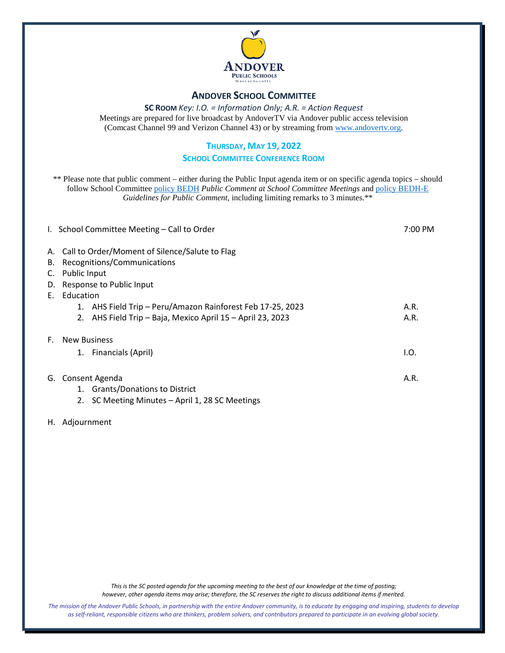

#### **ANDOVER SCHOOL COMMITTEE**

**SC ROOM** *Key: I.O. = Information Only; A.R. = Action Request*

Meetings are prepared for live broadcast by AndoverTV via Andover public access television (Comcast Channel 99 and Verizon Channel 43) or by streaming from [www.andovertv.org.](http://www.andovertv.org/)

#### **THURSDAY, MAY 19, 2022**

#### **SCHOOL COMMITTEE CONFERENCE ROOM**

\*\* Please note that public comment – either during the Public Input agenda item or on specific agenda topics – should follow School Committee [policy BEDH](https://z2policy.ctspublish.com/masc/browse/andoverset/andover/BEDH) *Public Comment at School Committee Meetings* an[d policy BEDH-E](https://z2policy.ctspublish.com/masc/browse/andoverset/andover/BEDH-E/z2Code_BEDH-E) *Guidelines for Public Comment*, including limiting remarks to 3 minutes.\*\*

|    | I. School Committee Meeting - Call to Order                   | 7:00 PM |  |  |
|----|---------------------------------------------------------------|---------|--|--|
|    | A. Call to Order/Moment of Silence/Salute to Flag             |         |  |  |
| В. | Recognitions/Communications                                   |         |  |  |
| C. | Public Input                                                  |         |  |  |
| D. | Response to Public Input                                      |         |  |  |
| Е. | Education                                                     |         |  |  |
|    | AHS Field Trip - Peru/Amazon Rainforest Feb 17-25, 2023<br>1. | A.R.    |  |  |
|    | AHS Field Trip - Baja, Mexico April 15 - April 23, 2023<br>2. | A.R.    |  |  |
| E. | <b>New Business</b>                                           |         |  |  |
|    | 1. Financials (April)                                         | I.O.    |  |  |
| G. | Consent Agenda                                                | A.R.    |  |  |
|    | 1. Grants/Donations to District                               |         |  |  |
|    | SC Meeting Minutes - April 1, 28 SC Meetings<br>2.            |         |  |  |

H. Adjournment

*This is the SC posted agenda for the upcoming meeting to the best of our knowledge at the time of posting; however, other agenda items may arise; therefore, the SC reserves the right to discuss additional items if merited.*

*The mission of the Andover Public Schools, in partnership with the entire Andover community, is to educate by engaging and inspiring, students to develop as self-reliant, responsible citizens who are thinkers, problem solvers, and contributors prepared to participate in an evolving global society.*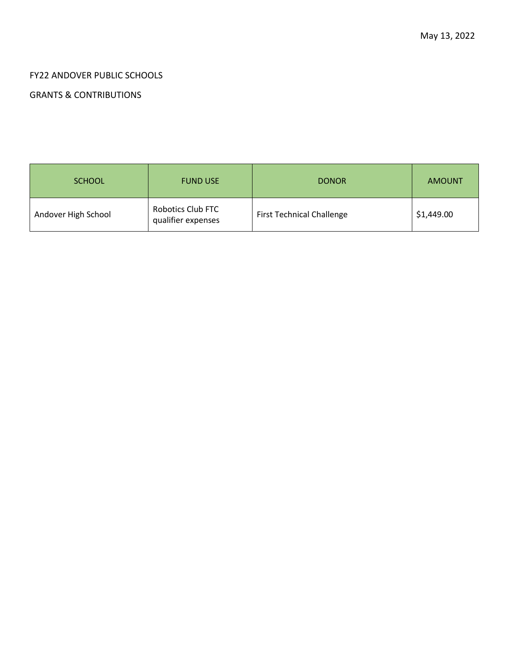## FY22 ANDOVER PUBLIC SCHOOLS

## GRANTS & CONTRIBUTIONS

| <b>SCHOOL</b>       | <b>FUND USE</b>                                | <b>DONOR</b>                     | <b>AMOUNT</b> |
|---------------------|------------------------------------------------|----------------------------------|---------------|
| Andover High School | <b>Robotics Club FTC</b><br>qualifier expenses | <b>First Technical Challenge</b> | \$1,449.00    |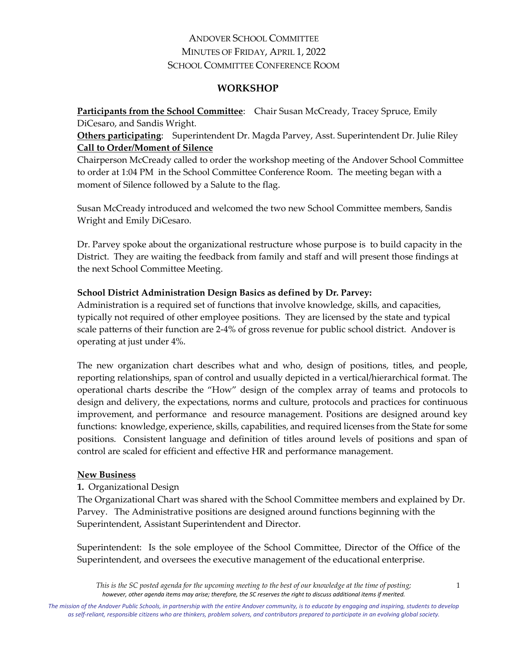## ANDOVER SCHOOL COMMITTEE MINUTES OF FRIDAY, APRIL 1, 2022 SCHOOL COMMITTEE CONFERENCE ROOM

### **WORKSHOP**

**Participants from the School Committee:** Chair Susan McCready, Tracey Spruce, Emily DiCesaro, and Sandis Wright.

**Others participating**: Superintendent Dr. Magda Parvey, Asst. Superintendent Dr. Julie Riley **Call to Order/Moment of Silence**

Chairperson McCready called to order the workshop meeting of the Andover School Committee to order at 1:04 PM in the School Committee Conference Room. The meeting began with a moment of Silence followed by a Salute to the flag.

Susan McCready introduced and welcomed the two new School Committee members, Sandis Wright and Emily DiCesaro.

Dr. Parvey spoke about the organizational restructure whose purpose is to build capacity in the District. They are waiting the feedback from family and staff and will present those findings at the next School Committee Meeting.

### **School District Administration Design Basics as defined by Dr. Parvey:**

Administration is a required set of functions that involve knowledge, skills, and capacities, typically not required of other employee positions. They are licensed by the state and typical scale patterns of their function are 2-4% of gross revenue for public school district. Andover is operating at just under 4%.

The new organization chart describes what and who, design of positions, titles, and people, reporting relationships, span of control and usually depicted in a vertical/hierarchical format. The operational charts describe the "How" design of the complex array of teams and protocols to design and delivery, the expectations, norms and culture, protocols and practices for continuous improvement, and performance and resource management. Positions are designed around key functions: knowledge, experience, skills, capabilities, and required licenses from the State for some positions. Consistent language and definition of titles around levels of positions and span of control are scaled for efficient and effective HR and performance management.

## **New Business**

## **1.** Organizational Design

The Organizational Chart was shared with the School Committee members and explained by Dr. Parvey. The Administrative positions are designed around functions beginning with the Superintendent, Assistant Superintendent and Director.

Superintendent: Is the sole employee of the School Committee, Director of the Office of the Superintendent, and oversees the executive management of the educational enterprise.

*This is the SC posted agenda for the upcoming meeting to the best of our knowledge at the time of posting; however, other agenda items may arise; therefore, the SC reserves the right to discuss additional items if merited.*

*The mission of the Andover Public Schools, in partnership with the entire Andover community, is to educate by engaging and inspiring, students to develop as self-reliant, responsible citizens who are thinkers, problem solvers, and contributors prepared to participate in an evolving global society.*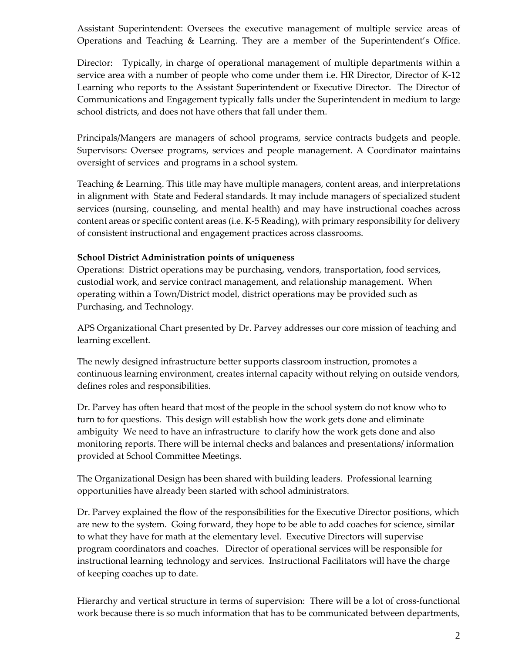Assistant Superintendent: Oversees the executive management of multiple service areas of Operations and Teaching & Learning. They are a member of the Superintendent's Office.

Director: Typically, in charge of operational management of multiple departments within a service area with a number of people who come under them i.e. HR Director, Director of K-12 Learning who reports to the Assistant Superintendent or Executive Director. The Director of Communications and Engagement typically falls under the Superintendent in medium to large school districts, and does not have others that fall under them.

Principals/Mangers are managers of school programs, service contracts budgets and people. Supervisors: Oversee programs, services and people management. A Coordinator maintains oversight of services and programs in a school system.

Teaching & Learning. This title may have multiple managers, content areas, and interpretations in alignment with State and Federal standards. It may include managers of specialized student services (nursing, counseling, and mental health) and may have instructional coaches across content areas or specific content areas (i.e. K-5 Reading), with primary responsibility for delivery of consistent instructional and engagement practices across classrooms.

### **School District Administration points of uniqueness**

Operations: District operations may be purchasing, vendors, transportation, food services, custodial work, and service contract management, and relationship management. When operating within a Town/District model, district operations may be provided such as Purchasing, and Technology.

APS Organizational Chart presented by Dr. Parvey addresses our core mission of teaching and learning excellent.

The newly designed infrastructure better supports classroom instruction, promotes a continuous learning environment, creates internal capacity without relying on outside vendors, defines roles and responsibilities.

Dr. Parvey has often heard that most of the people in the school system do not know who to turn to for questions. This design will establish how the work gets done and eliminate ambiguity We need to have an infrastructure to clarify how the work gets done and also monitoring reports. There will be internal checks and balances and presentations/ information provided at School Committee Meetings.

The Organizational Design has been shared with building leaders. Professional learning opportunities have already been started with school administrators.

Dr. Parvey explained the flow of the responsibilities for the Executive Director positions, which are new to the system. Going forward, they hope to be able to add coaches for science, similar to what they have for math at the elementary level. Executive Directors will supervise program coordinators and coaches. Director of operational services will be responsible for instructional learning technology and services. Instructional Facilitators will have the charge of keeping coaches up to date.

Hierarchy and vertical structure in terms of supervision: There will be a lot of cross-functional work because there is so much information that has to be communicated between departments,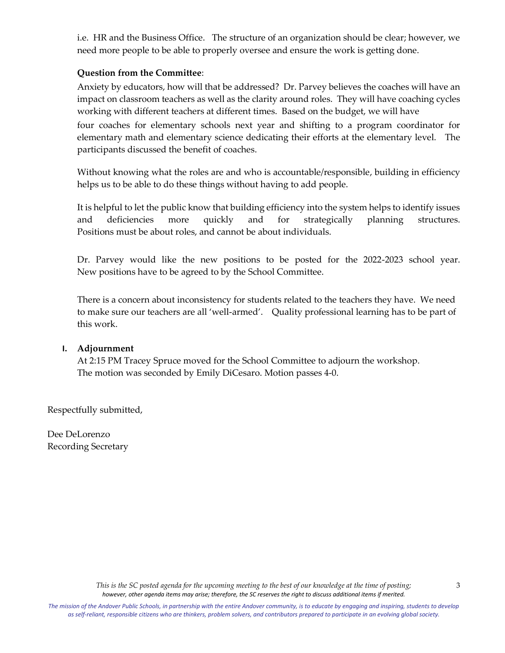i.e. HR and the Business Office. The structure of an organization should be clear; however, we need more people to be able to properly oversee and ensure the work is getting done.

#### **Question from the Committee**:

Anxiety by educators, how will that be addressed? Dr. Parvey believes the coaches will have an impact on classroom teachers as well as the clarity around roles. They will have coaching cycles working with different teachers at different times. Based on the budget, we will have four coaches for elementary schools next year and shifting to a program coordinator for elementary math and elementary science dedicating their efforts at the elementary level. The participants discussed the benefit of coaches.

Without knowing what the roles are and who is accountable/responsible, building in efficiency helps us to be able to do these things without having to add people.

It is helpful to let the public know that building efficiency into the system helps to identify issues and deficiencies more quickly and for strategically planning structures. Positions must be about roles, and cannot be about individuals.

Dr. Parvey would like the new positions to be posted for the 2022-2023 school year. New positions have to be agreed to by the School Committee.

There is a concern about inconsistency for students related to the teachers they have. We need to make sure our teachers are all 'well-armed'. Quality professional learning has to be part of this work.

#### **I. Adjournment**

At 2:15 PM Tracey Spruce moved for the School Committee to adjourn the workshop. The motion was seconded by Emily DiCesaro. Motion passes 4-0.

Respectfully submitted,

Dee DeLorenzo Recording Secretary

The mission of the Andover Public Schools, in partnership with the entire Andover community, is to educate by engaging and inspiring, students to develop *as self-reliant, responsible citizens who are thinkers, problem solvers, and contributors prepared to participate in an evolving global society.*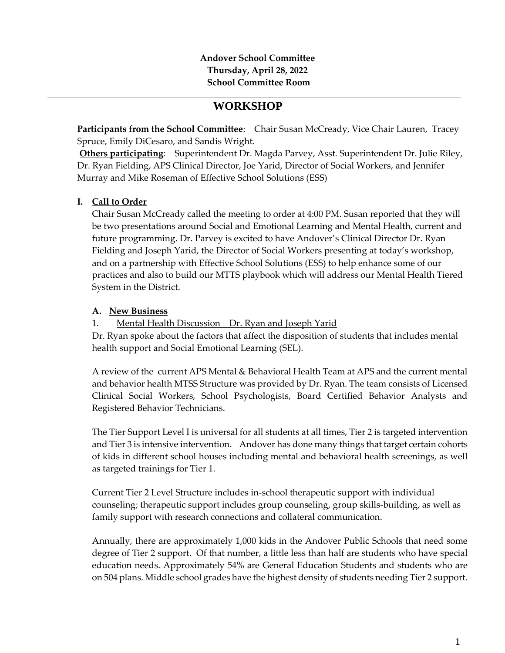## **Andover School Committee Thursday, April 28, 2022 School Committee Room**

# **WORKSHOP**

**Participants from the School Committee:** Chair Susan McCready, Vice Chair Lauren, Tracey Spruce, Emily DiCesaro, and Sandis Wright.

**Others participating**: Superintendent Dr. Magda Parvey, Asst. Superintendent Dr. Julie Riley, Dr. Ryan Fielding, APS Clinical Director, Joe Yarid, Director of Social Workers, and Jennifer Murray and Mike Roseman of Effective School Solutions (ESS)

## **I. Call to Order**

Chair Susan McCready called the meeting to order at 4:00 PM. Susan reported that they will be two presentations around Social and Emotional Learning and Mental Health, current and future programming. Dr. Parvey is excited to have Andover's Clinical Director Dr. Ryan Fielding and Joseph Yarid, the Director of Social Workers presenting at today's workshop, and on a partnership with Effective School Solutions (ESS) to help enhance some of our practices and also to build our MTTS playbook which will address our Mental Health Tiered System in the District.

## **A. New Business**

1. Mental Health Discussion Dr. Ryan and Joseph Yarid

Dr. Ryan spoke about the factors that affect the disposition of students that includes mental health support and Social Emotional Learning (SEL).

A review of the current APS Mental & Behavioral Health Team at APS and the current mental and behavior health MTSS Structure was provided by Dr. Ryan. The team consists of Licensed Clinical Social Workers, School Psychologists, Board Certified Behavior Analysts and Registered Behavior Technicians.

The Tier Support Level I is universal for all students at all times, Tier 2 is targeted intervention and Tier 3 is intensive intervention. Andover has done many things that target certain cohorts of kids in different school houses including mental and behavioral health screenings, as well as targeted trainings for Tier 1.

Current Tier 2 Level Structure includes in-school therapeutic support with individual counseling; therapeutic support includes group counseling, group skills-building, as well as family support with research connections and collateral communication.

Annually, there are approximately 1,000 kids in the Andover Public Schools that need some degree of Tier 2 support. Of that number, a little less than half are students who have special education needs. Approximately 54% are General Education Students and students who are on 504 plans. Middle school grades have the highest density of students needing Tier 2 support.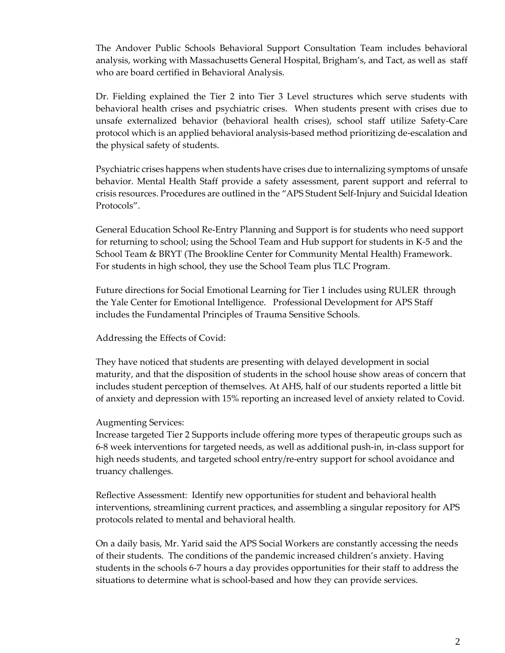The Andover Public Schools Behavioral Support Consultation Team includes behavioral analysis, working with Massachusetts General Hospital, Brigham's, and Tact, as well as staff who are board certified in Behavioral Analysis.

Dr. Fielding explained the Tier 2 into Tier 3 Level structures which serve students with behavioral health crises and psychiatric crises. When students present with crises due to unsafe externalized behavior (behavioral health crises), school staff utilize Safety-Care protocol which is an applied behavioral analysis-based method prioritizing de-escalation and the physical safety of students.

Psychiatric crises happens when students have crises due to internalizing symptoms of unsafe behavior. Mental Health Staff provide a safety assessment, parent support and referral to crisis resources. Procedures are outlined in the "APS Student Self-Injury and Suicidal Ideation Protocols".

General Education School Re-Entry Planning and Support is for students who need support for returning to school; using the School Team and Hub support for students in K-5 and the School Team & BRYT (The Brookline Center for Community Mental Health) Framework. For students in high school, they use the School Team plus TLC Program.

Future directions for Social Emotional Learning for Tier 1 includes using RULER through the Yale Center for Emotional Intelligence. Professional Development for APS Staff includes the Fundamental Principles of Trauma Sensitive Schools.

Addressing the Effects of Covid:

They have noticed that students are presenting with delayed development in social maturity, and that the disposition of students in the school house show areas of concern that includes student perception of themselves. At AHS, half of our students reported a little bit of anxiety and depression with 15% reporting an increased level of anxiety related to Covid.

#### Augmenting Services:

Increase targeted Tier 2 Supports include offering more types of therapeutic groups such as 6-8 week interventions for targeted needs, as well as additional push-in, in-class support for high needs students, and targeted school entry/re-entry support for school avoidance and truancy challenges.

Reflective Assessment: Identify new opportunities for student and behavioral health interventions, streamlining current practices, and assembling a singular repository for APS protocols related to mental and behavioral health.

On a daily basis, Mr. Yarid said the APS Social Workers are constantly accessing the needs of their students. The conditions of the pandemic increased children's anxiety. Having students in the schools 6-7 hours a day provides opportunities for their staff to address the situations to determine what is school-based and how they can provide services.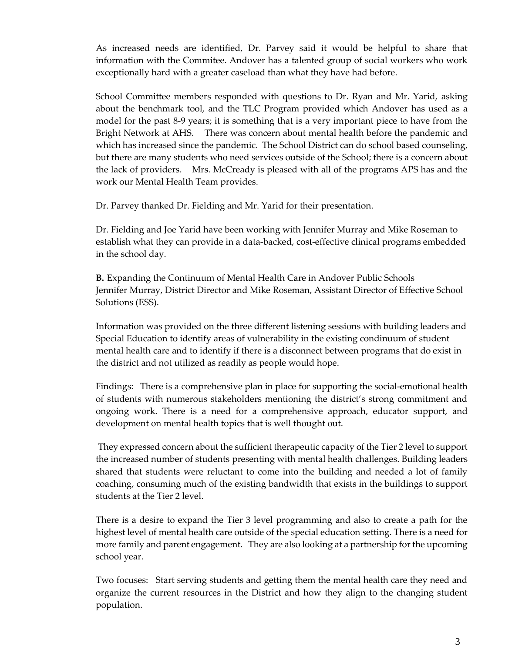As increased needs are identified, Dr. Parvey said it would be helpful to share that information with the Commitee. Andover has a talented group of social workers who work exceptionally hard with a greater caseload than what they have had before.

School Committee members responded with questions to Dr. Ryan and Mr. Yarid, asking about the benchmark tool, and the TLC Program provided which Andover has used as a model for the past 8-9 years; it is something that is a very important piece to have from the Bright Network at AHS. There was concern about mental health before the pandemic and which has increased since the pandemic. The School District can do school based counseling, but there are many students who need services outside of the School; there is a concern about the lack of providers. Mrs. McCready is pleased with all of the programs APS has and the work our Mental Health Team provides.

Dr. Parvey thanked Dr. Fielding and Mr. Yarid for their presentation.

Dr. Fielding and Joe Yarid have been working with Jennifer Murray and Mike Roseman to establish what they can provide in a data-backed, cost-effective clinical programs embedded in the school day.

**B.** Expanding the Continuum of Mental Health Care in Andover Public Schools Jennifer Murray, District Director and Mike Roseman, Assistant Director of Effective School Solutions (ESS).

Information was provided on the three different listening sessions with building leaders and Special Education to identify areas of vulnerability in the existing condinuum of student mental health care and to identify if there is a disconnect between programs that do exist in the district and not utilized as readily as people would hope.

Findings: There is a comprehensive plan in place for supporting the social-emotional health of students with numerous stakeholders mentioning the district's strong commitment and ongoing work. There is a need for a comprehensive approach, educator support, and development on mental health topics that is well thought out.

They expressed concern about the sufficient therapeutic capacity of the Tier 2 level to support the increased number of students presenting with mental health challenges. Building leaders shared that students were reluctant to come into the building and needed a lot of family coaching, consuming much of the existing bandwidth that exists in the buildings to support students at the Tier 2 level.

There is a desire to expand the Tier 3 level programming and also to create a path for the highest level of mental health care outside of the special education setting. There is a need for more family and parent engagement. They are also looking at a partnership for the upcoming school year.

Two focuses: Start serving students and getting them the mental health care they need and organize the current resources in the District and how they align to the changing student population.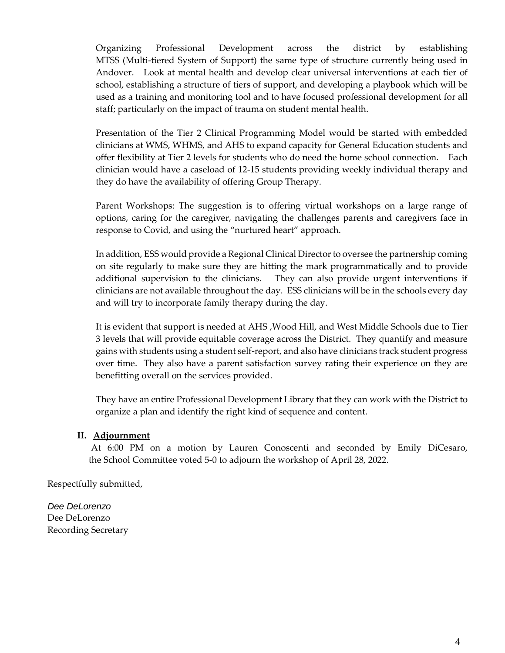Organizing Professional Development across the district by establishing MTSS (Multi-tiered System of Support) the same type of structure currently being used in Andover. Look at mental health and develop clear universal interventions at each tier of school, establishing a structure of tiers of support, and developing a playbook which will be used as a training and monitoring tool and to have focused professional development for all staff; particularly on the impact of trauma on student mental health.

Presentation of the Tier 2 Clinical Programming Model would be started with embedded clinicians at WMS, WHMS, and AHS to expand capacity for General Education students and offer flexibility at Tier 2 levels for students who do need the home school connection. Each clinician would have a caseload of 12-15 students providing weekly individual therapy and they do have the availability of offering Group Therapy.

Parent Workshops: The suggestion is to offering virtual workshops on a large range of options, caring for the caregiver, navigating the challenges parents and caregivers face in response to Covid, and using the "nurtured heart" approach.

In addition, ESS would provide a Regional Clinical Director to oversee the partnership coming on site regularly to make sure they are hitting the mark programmatically and to provide additional supervision to the clinicians. They can also provide urgent interventions if clinicians are not available throughout the day. ESS clinicians will be in the schools every day and will try to incorporate family therapy during the day.

It is evident that support is needed at AHS ,Wood Hill, and West Middle Schools due to Tier 3 levels that will provide equitable coverage across the District. They quantify and measure gains with students using a student self-report, and also have clinicians track student progress over time. They also have a parent satisfaction survey rating their experience on they are benefitting overall on the services provided.

They have an entire Professional Development Library that they can work with the District to organize a plan and identify the right kind of sequence and content.

#### **II. Adjournment**

At 6:00 PM on a motion by Lauren Conoscenti and seconded by Emily DiCesaro, the School Committee voted 5-0 to adjourn the workshop of April 28, 2022.

Respectfully submitted,

*Dee DeLorenzo* Dee DeLorenzo Recording Secretary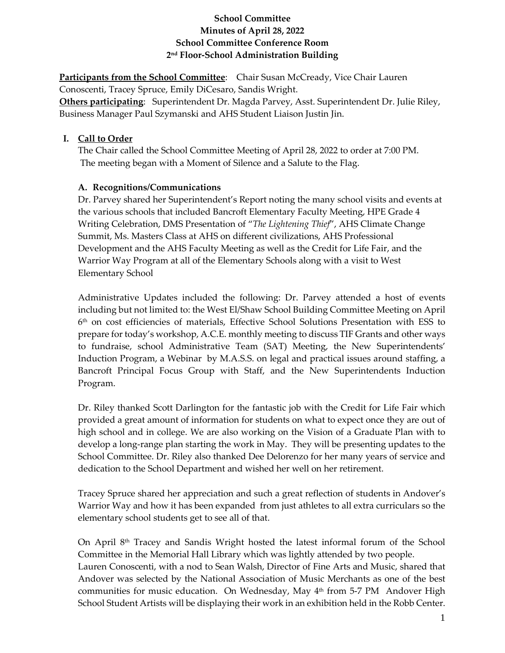## **School Committee Minutes of April 28, 2022 School Committee Conference Room 2nd Floor-School Administration Building**

**Participants from the School Committee**: Chair Susan McCready, Vice Chair Lauren Conoscenti, Tracey Spruce, Emily DiCesaro, Sandis Wright. **Others participating**: Superintendent Dr. Magda Parvey, Asst. Superintendent Dr. Julie Riley, Business Manager Paul Szymanski and AHS Student Liaison Justin Jin.

## **I. Call to Order**

The Chair called the School Committee Meeting of April 28, 2022 to order at 7:00 PM. The meeting began with a Moment of Silence and a Salute to the Flag.

## **A. Recognitions/Communications**

Dr. Parvey shared her Superintendent's Report noting the many school visits and events at the various schools that included Bancroft Elementary Faculty Meeting, HPE Grade 4 Writing Celebration, DMS Presentation of "*The Lightening Thief*", AHS Climate Change Summit, Ms. Masters Class at AHS on different civilizations, AHS Professional Development and the AHS Faculty Meeting as well as the Credit for Life Fair, and the Warrior Way Program at all of the Elementary Schools along with a visit to West Elementary School

Administrative Updates included the following: Dr. Parvey attended a host of events including but not limited to: the West El/Shaw School Building Committee Meeting on April 6th on cost efficiencies of materials, Effective School Solutions Presentation with ESS to prepare for today's workshop, A.C.E. monthly meeting to discuss TIF Grants and other ways to fundraise, school Administrative Team (SAT) Meeting, the New Superintendents' Induction Program, a Webinar by M.A.S.S. on legal and practical issues around staffing, a Bancroft Principal Focus Group with Staff, and the New Superintendents Induction Program.

Dr. Riley thanked Scott Darlington for the fantastic job with the Credit for Life Fair which provided a great amount of information for students on what to expect once they are out of high school and in college. We are also working on the Vision of a Graduate Plan with to develop a long-range plan starting the work in May. They will be presenting updates to the School Committee. Dr. Riley also thanked Dee Delorenzo for her many years of service and dedication to the School Department and wished her well on her retirement.

Tracey Spruce shared her appreciation and such a great reflection of students in Andover's Warrior Way and how it has been expanded from just athletes to all extra curriculars so the elementary school students get to see all of that.

On April  $8<sup>th</sup>$  Tracey and Sandis Wright hosted the latest informal forum of the School Committee in the Memorial Hall Library which was lightly attended by two people.

Lauren Conoscenti, with a nod to Sean Walsh, Director of Fine Arts and Music, shared that Andover was selected by the National Association of Music Merchants as one of the best communities for music education. On Wednesday, May  $4<sup>th</sup>$  from 5-7 PM Andover High School Student Artists will be displaying their work in an exhibition held in the Robb Center.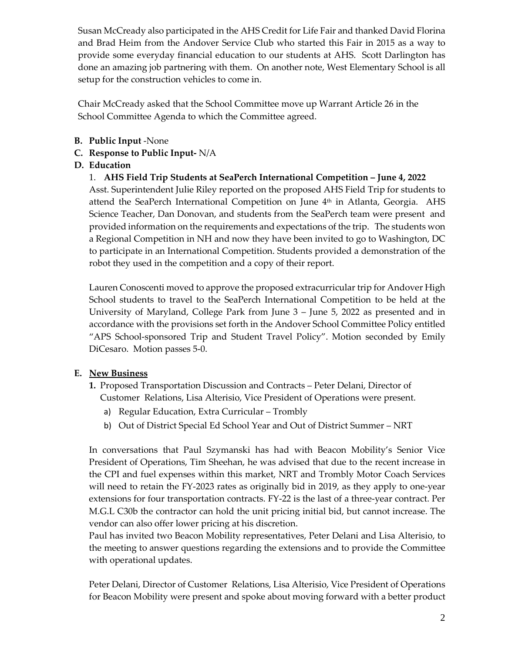Susan McCready also participated in the AHS Credit for Life Fair and thanked David Florina and Brad Heim from the Andover Service Club who started this Fair in 2015 as a way to provide some everyday financial education to our students at AHS. Scott Darlington has done an amazing job partnering with them. On another note, West Elementary School is all setup for the construction vehicles to come in.

Chair McCready asked that the School Committee move up Warrant Article 26 in the School Committee Agenda to which the Committee agreed.

- **B. Public Input** -None
- **C. Response to Public Input-** N/A

## **D. Education**

1. **AHS Field Trip Students at SeaPerch International Competition – June 4, 2022**

Asst. Superintendent Julie Riley reported on the proposed AHS Field Trip for students to attend the SeaPerch International Competition on June 4<sup>th</sup> in Atlanta, Georgia. AHS Science Teacher, Dan Donovan, and students from the SeaPerch team were present and provided information on the requirements and expectations of the trip. The students won a Regional Competition in NH and now they have been invited to go to Washington, DC to participate in an International Competition. Students provided a demonstration of the robot they used in the competition and a copy of their report.

Lauren Conoscenti moved to approve the proposed extracurricular trip for Andover High School students to travel to the SeaPerch International Competition to be held at the University of Maryland, College Park from June 3 – June 5, 2022 as presented and in accordance with the provisions set forth in the Andover School Committee Policy entitled "APS School-sponsored Trip and Student Travel Policy". Motion seconded by Emily DiCesaro. Motion passes 5-0.

## **E. New Business**

- **1.** Proposed Transportation Discussion and Contracts Peter Delani, Director of Customer Relations, Lisa Alterisio, Vice President of Operations were present.
	- a) Regular Education, Extra Curricular Trombly
	- b) Out of District Special Ed School Year and Out of District Summer NRT

In conversations that Paul Szymanski has had with Beacon Mobility's Senior Vice President of Operations, Tim Sheehan, he was advised that due to the recent increase in the CPI and fuel expenses within this market, NRT and Trombly Motor Coach Services will need to retain the FY-2023 rates as originally bid in 2019, as they apply to one-year extensions for four transportation contracts. FY-22 is the last of a three-year contract. Per M.G.L C30b the contractor can hold the unit pricing initial bid, but cannot increase. The vendor can also offer lower pricing at his discretion.

Paul has invited two Beacon Mobility representatives, Peter Delani and Lisa Alterisio, to the meeting to answer questions regarding the extensions and to provide the Committee with operational updates.

Peter Delani, Director of Customer Relations, Lisa Alterisio, Vice President of Operations for Beacon Mobility were present and spoke about moving forward with a better product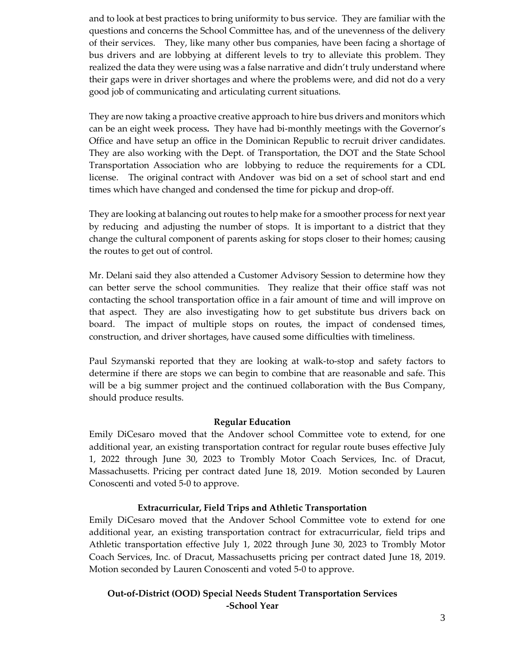and to look at best practices to bring uniformity to bus service. They are familiar with the questions and concerns the School Committee has, and of the unevenness of the delivery of their services. They, like many other bus companies, have been facing a shortage of bus drivers and are lobbying at different levels to try to alleviate this problem. They realized the data they were using was a false narrative and didn't truly understand where their gaps were in driver shortages and where the problems were, and did not do a very good job of communicating and articulating current situations.

They are now taking a proactive creative approach to hire bus drivers and monitors which can be an eight week process**.** They have had bi-monthly meetings with the Governor's Office and have setup an office in the Dominican Republic to recruit driver candidates. They are also working with the Dept. of Transportation, the DOT and the State School Transportation Association who are lobbying to reduce the requirements for a CDL license. The original contract with Andover was bid on a set of school start and end times which have changed and condensed the time for pickup and drop-off.

They are looking at balancing out routes to help make for a smoother process for next year by reducing and adjusting the number of stops. It is important to a district that they change the cultural component of parents asking for stops closer to their homes; causing the routes to get out of control.

Mr. Delani said they also attended a Customer Advisory Session to determine how they can better serve the school communities. They realize that their office staff was not contacting the school transportation office in a fair amount of time and will improve on that aspect. They are also investigating how to get substitute bus drivers back on board. The impact of multiple stops on routes, the impact of condensed times, construction, and driver shortages, have caused some difficulties with timeliness.

Paul Szymanski reported that they are looking at walk-to-stop and safety factors to determine if there are stops we can begin to combine that are reasonable and safe. This will be a big summer project and the continued collaboration with the Bus Company, should produce results.

#### **Regular Education**

Emily DiCesaro moved that the Andover school Committee vote to extend, for one additional year, an existing transportation contract for regular route buses effective July 1, 2022 through June 30, 2023 to Trombly Motor Coach Services, Inc. of Dracut, Massachusetts. Pricing per contract dated June 18, 2019. Motion seconded by Lauren Conoscenti and voted 5-0 to approve.

## **Extracurricular, Field Trips and Athletic Transportation**

Emily DiCesaro moved that the Andover School Committee vote to extend for one additional year, an existing transportation contract for extracurricular, field trips and Athletic transportation effective July 1, 2022 through June 30, 2023 to Trombly Motor Coach Services, Inc. of Dracut, Massachusetts pricing per contract dated June 18, 2019. Motion seconded by Lauren Conoscenti and voted 5-0 to approve.

## **Out-of-District (OOD) Special Needs Student Transportation Services -School Year**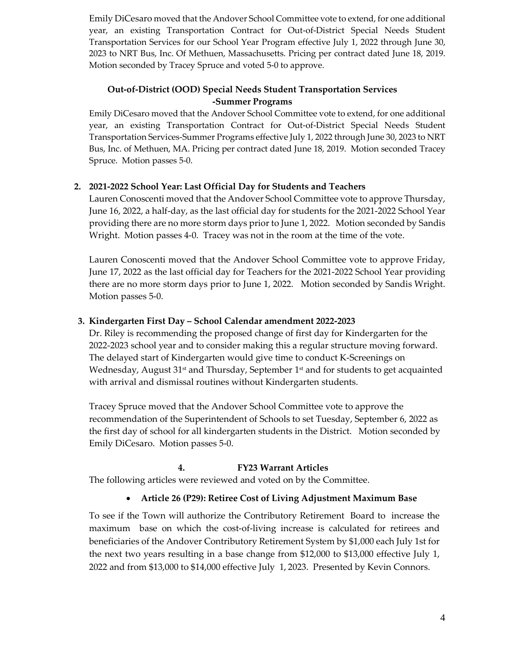Emily DiCesaro moved that the Andover School Committee vote to extend, for one additional year, an existing Transportation Contract for Out-of-District Special Needs Student Transportation Services for our School Year Program effective July 1, 2022 through June 30, 2023 to NRT Bus, Inc. Of Methuen, Massachusetts. Pricing per contract dated June 18, 2019. Motion seconded by Tracey Spruce and voted 5-0 to approve.

## **Out-of-District (OOD) Special Needs Student Transportation Services -Summer Programs**

Emily DiCesaro moved that the Andover School Committee vote to extend, for one additional year, an existing Transportation Contract for Out-of-District Special Needs Student Transportation Services-Summer Programs effective July 1, 2022 through June 30, 2023 to NRT Bus, Inc. of Methuen, MA. Pricing per contract dated June 18, 2019. Motion seconded Tracey Spruce. Motion passes 5-0.

## **2. 2021-2022 School Year: Last Official Day for Students and Teachers**

Lauren Conoscenti moved that the Andover School Committee vote to approve Thursday, June 16, 2022, a half-day, as the last official day for students for the 2021-2022 School Year providing there are no more storm days prior to June 1, 2022. Motion seconded by Sandis Wright. Motion passes 4-0. Tracey was not in the room at the time of the vote.

Lauren Conoscenti moved that the Andover School Committee vote to approve Friday, June 17, 2022 as the last official day for Teachers for the 2021-2022 School Year providing there are no more storm days prior to June 1, 2022. Motion seconded by Sandis Wright. Motion passes 5-0.

## **3. Kindergarten First Day – School Calendar amendment 2022-2023**

Dr. Riley is recommending the proposed change of first day for Kindergarten for the 2022-2023 school year and to consider making this a regular structure moving forward. The delayed start of Kindergarten would give time to conduct K-Screenings on Wednesday, August  $31<sup>st</sup>$  and Thursday, September  $1<sup>st</sup>$  and for students to get acquainted with arrival and dismissal routines without Kindergarten students.

Tracey Spruce moved that the Andover School Committee vote to approve the recommendation of the Superintendent of Schools to set Tuesday, September 6, 2022 as the first day of school for all kindergarten students in the District. Motion seconded by Emily DiCesaro. Motion passes 5-0.

## **4. FY23 Warrant Articles**

The following articles were reviewed and voted on by the Committee.

## • **Article 26 (P29): Retiree Cost of Living Adjustment Maximum Base**

To see if the Town will authorize the Contributory Retirement Board to increase the maximum base on which the cost-of-living increase is calculated for retirees and beneficiaries of the Andover Contributory Retirement System by \$1,000 each July 1st for the next two years resulting in a base change from \$12,000 to \$13,000 effective July 1, 2022 and from \$13,000 to \$14,000 effective July 1, 2023. Presented by Kevin Connors.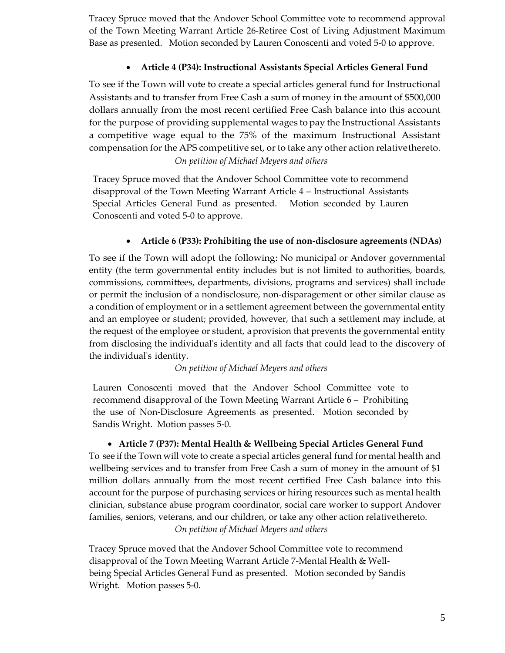Tracey Spruce moved that the Andover School Committee vote to recommend approval of the Town Meeting Warrant Article 26-Retiree Cost of Living Adjustment Maximum Base as presented. Motion seconded by Lauren Conoscenti and voted 5-0 to approve.

## • **Article 4 (P34): Instructional Assistants Special Articles General Fund**

To see if the Town will vote to create a special articles general fund for Instructional Assistants and to transfer from Free Cash a sum of money in the amount of \$500,000 dollars annually from the most recent certified Free Cash balance into this account for the purpose of providing supplemental wages topay the Instructional Assistants a competitive wage equal to the 75% of the maximum Instructional Assistant compensation for the APS competitive set, or to take any other action relativethereto. *On petition of Michael Meyers and others*

Tracey Spruce moved that the Andover School Committee vote to recommend disapproval of the Town Meeting Warrant Article 4 – Instructional Assistants Special Articles General Fund as presented. Motion seconded by Lauren Conoscenti and voted 5-0 to approve.

## • **Article 6 (P33): Prohibiting the use of non-disclosure agreements (NDAs)**

To see if the Town will adopt the following: No municipal or Andover governmental entity (the term governmental entity includes but is not limited to authorities, boards, commissions, committees, departments, divisions, programs and services) shall include or permit the inclusion of a nondisclosure, non-disparagement or other similar clause as a condition of employment or in a settlement agreement between the governmental entity and an employee or student; provided, however, that such a settlement may include, at the request of the employee or student, aprovision that prevents the governmental entity from disclosing the individual's identity and all facts that could lead to the discovery of the individual's identity.

#### *On petition of Michael Meyers and others*

Lauren Conoscenti moved that the Andover School Committee vote to recommend disapproval of the Town Meeting Warrant Article 6 – Prohibiting the use of Non-Disclosure Agreements as presented. Motion seconded by Sandis Wright. Motion passes 5-0.

## • **Article 7 (P37): Mental Health & Wellbeing Special Articles General Fund**

To see if the Town will vote to create a special articles general fund for mental health and wellbeing services and to transfer from Free Cash a sum of money in the amount of \$1 million dollars annually from the most recent certified Free Cash balance into this account for the purpose of purchasing services or hiring resources such as mental health clinician, substance abuse program coordinator, social care worker to support Andover families, seniors, veterans, and our children, or take any other action relativethereto. *On petition of Michael Meyers and others*

Tracey Spruce moved that the Andover School Committee vote to recommend disapproval of the Town Meeting Warrant Article 7-Mental Health & Wellbeing Special Articles General Fund as presented. Motion seconded by Sandis Wright. Motion passes 5-0.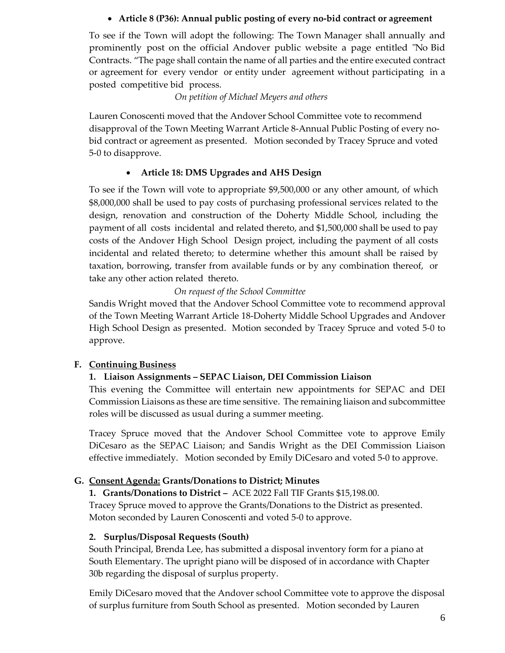## • **Article 8 (P36): Annual public posting of every no-bid contract or agreement**

To see if the Town will adopt the following: The Town Manager shall annually and prominently post on the official Andover public website a page entitled "No Bid Contracts. "The page shall contain the name of all parties and the entire executed contract or agreement for every vendor or entity under agreement without participating in a posted competitive bid process.

*On petition of Michael Meyers and others*

Lauren Conoscenti moved that the Andover School Committee vote to recommend disapproval of the Town Meeting Warrant Article 8-Annual Public Posting of every nobid contract or agreement as presented. Motion seconded by Tracey Spruce and voted 5-0 to disapprove.

## • **Article 18: DMS Upgrades and AHS Design**

To see if the Town will vote to appropriate \$9,500,000 or any other amount, of which \$8,000,000 shall be used to pay costs of purchasing professional services related to the design, renovation and construction of the Doherty Middle School, including the payment of all costs incidental and related thereto, and \$1,500,000 shall be used to pay costs of the Andover High School Design project, including the payment of all costs incidental and related thereto; to determine whether this amount shall be raised by taxation, borrowing, transfer from available funds or by any combination thereof, or take any other action related thereto.

## *On request of the School Committee*

Sandis Wright moved that the Andover School Committee vote to recommend approval of the Town Meeting Warrant Article 18-Doherty Middle School Upgrades and Andover High School Design as presented. Motion seconded by Tracey Spruce and voted 5-0 to approve.

## **F. Continuing Business**

## **1. Liaison Assignments – SEPAC Liaison, DEI Commission Liaison**

This evening the Committee will entertain new appointments for SEPAC and DEI Commission Liaisons as these are time sensitive. The remaining liaison and subcommittee roles will be discussed as usual during a summer meeting.

Tracey Spruce moved that the Andover School Committee vote to approve Emily DiCesaro as the SEPAC Liaison; and Sandis Wright as the DEI Commission Liaison effective immediately. Motion seconded by Emily DiCesaro and voted 5-0 to approve.

## **G. Consent Agenda: Grants/Donations to District; Minutes**

**1. Grants/Donations to District –** ACE 2022 Fall TIF Grants \$15,198.00.

Tracey Spruce moved to approve the Grants/Donations to the District as presented. Moton seconded by Lauren Conoscenti and voted 5-0 to approve.

## **2. Surplus/Disposal Requests (South)**

South Principal, Brenda Lee, has submitted a disposal inventory form for a piano at South Elementary. The upright piano will be disposed of in accordance with Chapter 30b regarding the disposal of surplus property.

Emily DiCesaro moved that the Andover school Committee vote to approve the disposal of surplus furniture from South School as presented. Motion seconded by Lauren